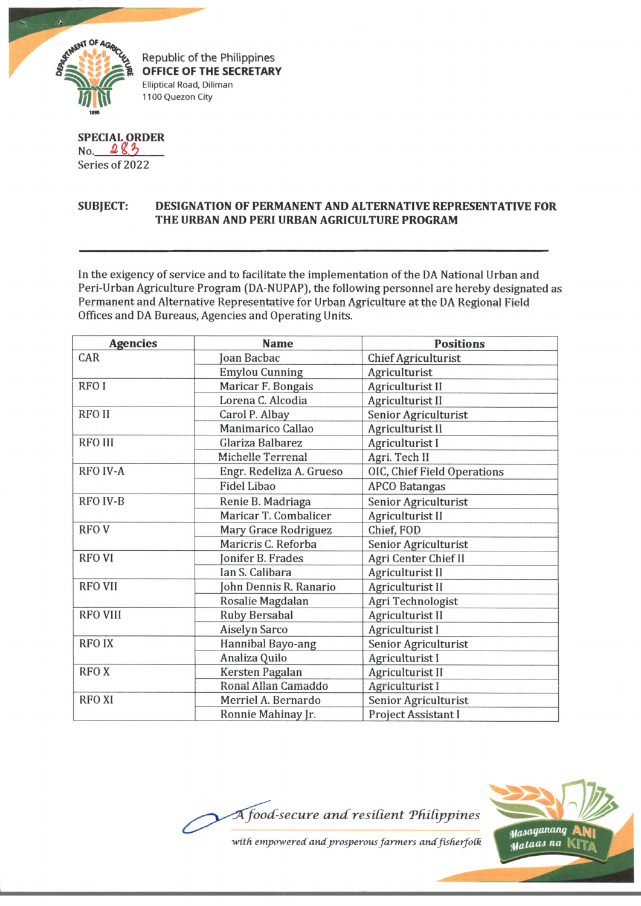

Republic of the Philippines **OFFICE OF THE SECRETARY Elliptical Road, Diliman 1100 Quezon City**

**SPECIAL ORDER** No. 283 Series of 2022

## **SUBJECT: DESIGNATION OF PERMANENT AND ALTERNATIVE REPRESENTATIVE FOR THE URBAN AND PERI URBAN AGRICULTURE PROGRAM**

In the exigency of service and to facilitate the implementation of the DA National Urban and Peri-Urban Agriculture Program (DA-NUPAP), the following personnel are hereby designated as Permanent and Alternative Representative for **Urban Agriculture** at the DA **Regional** Field Offices and DA Bureaus, Agencies and Operating Units.

| <b>Agencies</b>  | <b>Name</b>                 | <b>Positions</b>            |
|------------------|-----------------------------|-----------------------------|
| CAR              | Joan Bacbac                 | <b>Chief Agriculturist</b>  |
|                  | <b>Emylou Cunning</b>       | Agriculturist               |
| RFO <sub>I</sub> | Maricar F. Bongais          | Agriculturist II            |
|                  | Lorena C. Alcodia           | Agriculturist II            |
| <b>RFOII</b>     | Carol P. Albay              | Senior Agriculturist        |
|                  | Manimarico Callao           | Agriculturist II            |
| <b>RFO III</b>   | Glariza Balbarez            | Agriculturist I             |
|                  | Michelle Terrenal           | Agri. Tech II               |
| <b>RFO IV-A</b>  | Engr. Redeliza A. Grueso    | OIC, Chief Field Operations |
|                  | <b>Fidel Libao</b>          | <b>APCO Batangas</b>        |
| <b>RFO IV-B</b>  | Renie B. Madriaga           | Senior Agriculturist        |
|                  | Maricar T. Combalicer       | Agriculturist II            |
| RFO V            | <b>Mary Grace Rodriguez</b> | Chief, FOD                  |
|                  | Maricris C. Reforba         | Senior Agriculturist        |
| <b>RFO VI</b>    | Jonifer B. Frades           | Agri Center Chief II        |
|                  | Ian S. Calibara             | Agriculturist II            |
| <b>RFO VII</b>   | Ohn Dennis R. Ranario       | <b>Agriculturist II</b>     |
|                  | Rosalie Magdalan            | Agri Technologist           |
| <b>RFO VIII</b>  | <b>Ruby Bersabal</b>        | Agriculturist II            |
|                  | <b>Aiselyn Sarco</b>        | Agriculturist I             |
| <b>RFOIX</b>     | Hannibal Bayo-ang           | Senior Agriculturist        |
|                  | Analiza Quilo               | Agriculturist I             |
| <b>RFOX</b>      | Kersten Pagalan             | Agriculturist II            |
|                  | Ronal Allan Camaddo         | Agriculturist I             |
| <b>RFO XI</b>    | Merriel A. Bernardo         | Senior Agriculturist        |
|                  | Ronnie Mahinay Jr.          | Project Assistant I         |